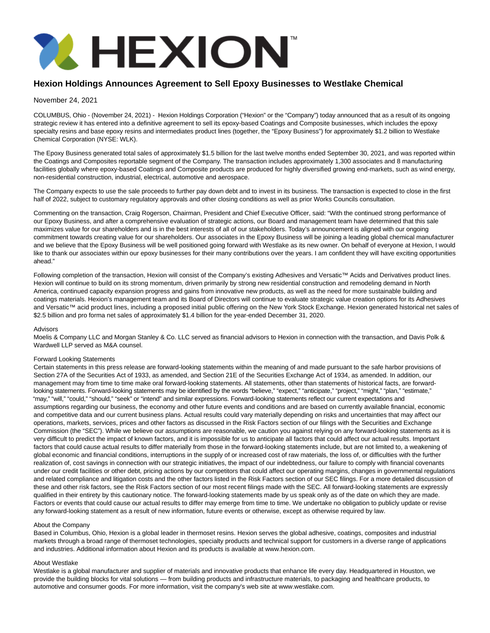

# **Hexion Holdings Announces Agreement to Sell Epoxy Businesses to Westlake Chemical**

## November 24, 2021

COLUMBUS, Ohio - (November 24, 2021) - Hexion Holdings Corporation ("Hexion" or the "Company") today announced that as a result of its ongoing strategic review it has entered into a definitive agreement to sell its epoxy-based Coatings and Composite businesses, which includes the epoxy specialty resins and base epoxy resins and intermediates product lines (together, the "Epoxy Business") for approximately \$1.2 billion to Westlake Chemical Corporation (NYSE: WLK).

The Epoxy Business generated total sales of approximately \$1.5 billion for the last twelve months ended September 30, 2021, and was reported within the Coatings and Composites reportable segment of the Company. The transaction includes approximately 1,300 associates and 8 manufacturing facilities globally where epoxy-based Coatings and Composite products are produced for highly diversified growing end-markets, such as wind energy, non-residential construction, industrial, electrical, automotive and aerospace.

The Company expects to use the sale proceeds to further pay down debt and to invest in its business. The transaction is expected to close in the first half of 2022, subject to customary regulatory approvals and other closing conditions as well as prior Works Councils consultation.

Commenting on the transaction, Craig Rogerson, Chairman, President and Chief Executive Officer, said: "With the continued strong performance of our Epoxy Business, and after a comprehensive evaluation of strategic actions, our Board and management team have determined that this sale maximizes value for our shareholders and is in the best interests of all of our stakeholders. Today's announcement is aligned with our ongoing commitment towards creating value for our shareholders. Our associates in the Epoxy Business will be joining a leading global chemical manufacturer and we believe that the Epoxy Business will be well positioned going forward with Westlake as its new owner. On behalf of everyone at Hexion, I would like to thank our associates within our epoxy businesses for their many contributions over the years. I am confident they will have exciting opportunities ahead."

Following completion of the transaction, Hexion will consist of the Company's existing Adhesives and Versatic™ Acids and Derivatives product lines. Hexion will continue to build on its strong momentum, driven primarily by strong new residential construction and remodeling demand in North America, continued capacity expansion progress and gains from innovative new products, as well as the need for more sustainable building and coatings materials. Hexion's management team and its Board of Directors will continue to evaluate strategic value creation options for its Adhesives and Versatic™ acid product lines, including a proposed initial public offering on the New York Stock Exchange. Hexion generated historical net sales of \$2.5 billion and pro forma net sales of approximately \$1.4 billion for the year-ended December 31, 2020.

#### Advisors

Moelis & Company LLC and Morgan Stanley & Co. LLC served as financial advisors to Hexion in connection with the transaction, and Davis Polk & Wardwell LLP served as M&A counsel.

### Forward Looking Statements

Certain statements in this press release are forward-looking statements within the meaning of and made pursuant to the safe harbor provisions of Section 27A of the Securities Act of 1933, as amended, and Section 21E of the Securities Exchange Act of 1934, as amended. In addition, our management may from time to time make oral forward-looking statements. All statements, other than statements of historical facts, are forwardlooking statements. Forward-looking statements may be identified by the words "believe," "expect," "anticipate," "project," "might," "plan," "estimate," "may," "will," "could," "should," "seek" or "intend" and similar expressions. Forward-looking statements reflect our current expectations and assumptions regarding our business, the economy and other future events and conditions and are based on currently available financial, economic and competitive data and our current business plans. Actual results could vary materially depending on risks and uncertainties that may affect our operations, markets, services, prices and other factors as discussed in the Risk Factors section of our filings with the Securities and Exchange Commission (the "SEC"). While we believe our assumptions are reasonable, we caution you against relying on any forward-looking statements as it is very difficult to predict the impact of known factors, and it is impossible for us to anticipate all factors that could affect our actual results. Important factors that could cause actual results to differ materially from those in the forward-looking statements include, but are not limited to, a weakening of global economic and financial conditions, interruptions in the supply of or increased cost of raw materials, the loss of, or difficulties with the further realization of, cost savings in connection with our strategic initiatives, the impact of our indebtedness, our failure to comply with financial covenants under our credit facilities or other debt, pricing actions by our competitors that could affect our operating margins, changes in governmental regulations and related compliance and litigation costs and the other factors listed in the Risk Factors section of our SEC filings. For a more detailed discussion of these and other risk factors, see the Risk Factors section of our most recent filings made with the SEC. All forward-looking statements are expressly qualified in their entirety by this cautionary notice. The forward-looking statements made by us speak only as of the date on which they are made. Factors or events that could cause our actual results to differ may emerge from time to time. We undertake no obligation to publicly update or revise any forward-looking statement as a result of new information, future events or otherwise, except as otherwise required by law.

### About the Company

Based in Columbus, Ohio, Hexion is a global leader in thermoset resins. Hexion serves the global adhesive, coatings, composites and industrial markets through a broad range of thermoset technologies, specialty products and technical support for customers in a diverse range of applications and industries. Additional information about Hexion and its products is available at www.hexion.com.

#### About Westlake

Westlake is a global manufacturer and supplier of materials and innovative products that enhance life every day. Headquartered in Houston, we provide the building blocks for vital solutions — from building products and infrastructure materials, to packaging and healthcare products, to automotive and consumer goods. For more information, visit the company's web site at www.westlake.com.